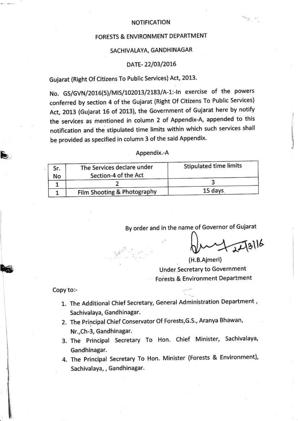#### NOTIFICATION

## FORESTS & ENVIRONMENT DEPARTMENT

## SACHIVALAYA, GANDHINAGAR

### DATE- 22/03/2016

# Gujarat (Right Of Citizens To Public Services) Act, 2013.

No. GS/GVN/2016(5)/MIS/102013/2183/A-1:-In exercise of the powers conferred by section 4 of the Gujarat (Right Of Citizens To Public Services) Act, 2013 (Gujarat 16 of 2013), the Government of Gujarat here by notify the services as mentioned in column 2 of Appendix-A, appended to this notification and the stipulated time limits within which such services shall be provided as specified in column 3 of the said Appendix.

#### Appendix.-A

| Sr.<br>No | The Services declare under<br>Section-4 of the Act | Stipulated time limits |
|-----------|----------------------------------------------------|------------------------|
|           |                                                    |                        |
|           | Film Shooting & Photography                        | 15 days                |

By order and in the name of Governor of Gujarat

 $\sqrt[3]{48}$ 

 $\sim$ 

(H.B.Ajmeri) Under Secretary to Goverrment Forests & Environment Department

### Copy to:-

E

IE

!

 $\frac{1}{3}$ 

I

- 1. The Additional Chief Secretary, General Administration Department , sachivalaya, Gandhinagar.
- 2. The Principal Chief Conservator Of Forests,G.S., Aranya Bhawan, Nr.,Ch-3, Gandhinagar.
- 3. The Principal Secretary To Hon. Chief Minister, Sachivalaya, Gandhinagar.
- 4. The Principal Secretary To Hon. Minister (Forests & Environment), Sachivalaya, , Gandhinagar.